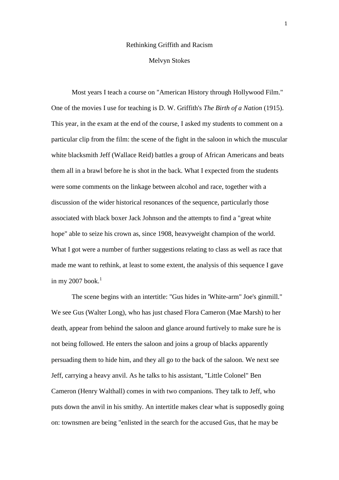## Rethinking Griffith and Racism

## Melvyn Stokes

Most years I teach a course on "American History through Hollywood Film." One of the movies I use for teaching is D. W. Griffith's *The Birth of a Nation* (1915). This year, in the exam at the end of the course, I asked my students to comment on a particular clip from the film: the scene of the fight in the saloon in which the muscular white blacksmith Jeff (Wallace Reid) battles a group of African Americans and beats them all in a brawl before he is shot in the back. What I expected from the students were some comments on the linkage between alcohol and race, together with a discussion of the wider historical resonances of the sequence, particularly those associated with black boxer Jack Johnson and the attempts to find a "great white hope" able to seize his crown as, since 1908, heavyweight champion of the world. What I got were a number of further suggestions relating to class as well as race that made me want to rethink, at least to some extent, the analysis of this sequence I gave in my 2007 book. $1$ 

The scene begins with an intertitle: "Gus hides in 'White-arm" Joe's ginmill." We see Gus (Walter Long), who has just chased Flora Cameron (Mae Marsh) to her death, appear from behind the saloon and glance around furtively to make sure he is not being followed. He enters the saloon and joins a group of blacks apparently persuading them to hide him, and they all go to the back of the saloon. We next see Jeff, carrying a heavy anvil. As he talks to his assistant, "Little Colonel" Ben Cameron (Henry Walthall) comes in with two companions. They talk to Jeff, who puts down the anvil in his smithy. An intertitle makes clear what is supposedly going on: townsmen are being "enlisted in the search for the accused Gus, that he may be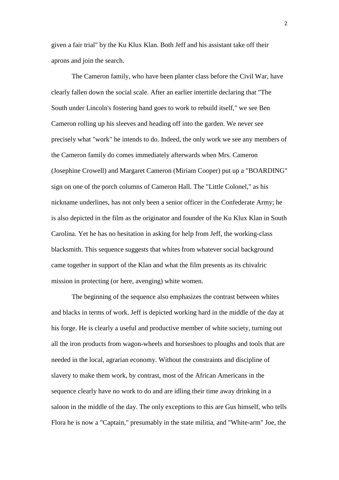given a fair trial" by the Ku Klux Klan. Both Jeff and his assistant take off their aprons and join the search.

The Cameron family, who have been planter class before the Civil War, have clearly fallen down the social scale. After an earlier intertitle declaring that "The South under Lincoln's fostering hand goes to work to rebuild itself," we see Ben Cameron rolling up his sleeves and heading off into the garden. We never see precisely what "work" he intends to do. Indeed, the only work we see any members of the Cameron family do comes immediately afterwards when Mrs. Cameron (Josephine Crowell) and Margaret Cameron (Miriam Cooper) put up a "BOARDING" sign on one of the porch columns of Cameron Hall. The "Little Colonel," as his nickname underlines, has not only been a senior officer in the Confederate Army; he is also depicted in the film as the originator and founder of the Ku Klux Klan in South Carolina. Yet he has no hesitation in asking for help from Jeff, the working-class blacksmith. This sequence suggests that whites from whatever social background came together in support of the Klan and what the film presents as its chivalric mission in protecting (or here, avenging) white women.

The beginning of the sequence also emphasizes the contrast between whites and blacks in terms of work. Jeff is depicted working hard in the middle of the day at his forge. He is clearly a useful and productive member of white society, turning out all the iron products from wagon-wheels and horseshoes to ploughs and tools that are needed in the local, agrarian economy. Without the constraints and discipline of slavery to make them work, by contrast, most of the African Americans in the sequence clearly have no work to do and are idling their time away drinking in a saloon in the middle of the day. The only exceptions to this are Gus himself, who tells Flora he is now a "Captain," presumably in the state militia, and "White-arm" Joe, the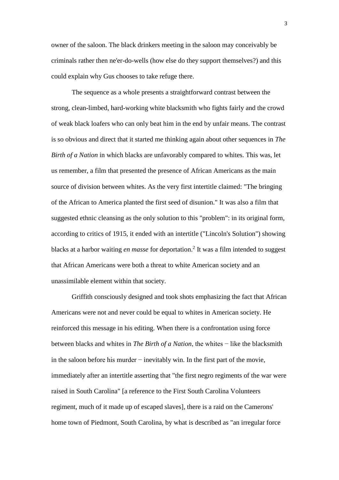owner of the saloon. The black drinkers meeting in the saloon may conceivably be criminals rather then ne'er-do-wells (how else do they support themselves?) and this could explain why Gus chooses to take refuge there.

The sequence as a whole presents a straightforward contrast between the strong, clean-limbed, hard-working white blacksmith who fights fairly and the crowd of weak black loafers who can only beat him in the end by unfair means. The contrast is so obvious and direct that it started me thinking again about other sequences in *The Birth of a Nation* in which blacks are unfavorably compared to whites. This was, let us remember, a film that presented the presence of African Americans as the main source of division between whites. As the very first intertitle claimed: "The bringing of the African to America planted the first seed of disunion." It was also a film that suggested ethnic cleansing as the only solution to this "problem": in its original form, according to critics of 1915, it ended with an intertitle ("Lincoln's Solution") showing blacks at a harbor waiting *en masse* for deportation.<sup>2</sup> It was a film intended to suggest that African Americans were both a threat to white American society and an unassimilable element within that society.

Griffith consciously designed and took shots emphasizing the fact that African Americans were not and never could be equal to whites in American society. He reinforced this message in his editing. When there is a confrontation using force between blacks and whites in *The Birth of a Nation*, the whites − like the blacksmith in the saloon before his murder − inevitably win. In the first part of the movie, immediately after an intertitle asserting that "the first negro regiments of the war were raised in South Carolina" [a reference to the First South Carolina Volunteers regiment, much of it made up of escaped slaves], there is a raid on the Camerons' home town of Piedmont, South Carolina, by what is described as "an irregular force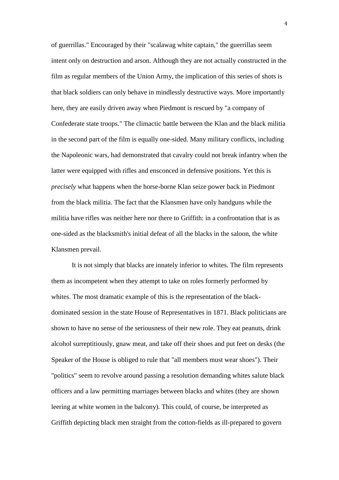of guerrillas." Encouraged by their "scalawag white captain," the guerrillas seem intent only on destruction and arson. Although they are not actually constructed in the film as regular members of the Union Army, the implication of this series of shots is that black soldiers can only behave in mindlessly destructive ways. More importantly here, they are easily driven away when Piedmont is rescued by "a company of Confederate state troops." The climactic battle between the Klan and the black militia in the second part of the film is equally one-sided. Many military conflicts, including the Napoleonic wars, had demonstrated that cavalry could not break infantry when the latter were equipped with rifles and ensconced in defensive positions. Yet this is *precisely* what happens when the horse-borne Klan seize power back in Piedmont from the black militia. The fact that the Klansmen have only handguns while the militia have rifles was neither here nor there to Griffith: in a confrontation that is as one-sided as the blacksmith's initial defeat of all the blacks in the saloon, the white Klansmen prevail.

It is not simply that blacks are innately inferior to whites. The film represents them as incompetent when they attempt to take on roles formerly performed by whites. The most dramatic example of this is the representation of the blackdominated session in the state House of Representatives in 1871. Black politicians are shown to have no sense of the seriousness of their new role. They eat peanuts, drink alcohol surreptitiously, gnaw meat, and take off their shoes and put feet on desks (the Speaker of the House is obliged to rule that "all members must wear shoes"). Their "politics" seem to revolve around passing a resolution demanding whites salute black officers and a law permitting marriages between blacks and whites (they are shown leering at white women in the balcony). This could, of course, be interpreted as Griffith depicting black men straight from the cotton-fields as ill-prepared to govern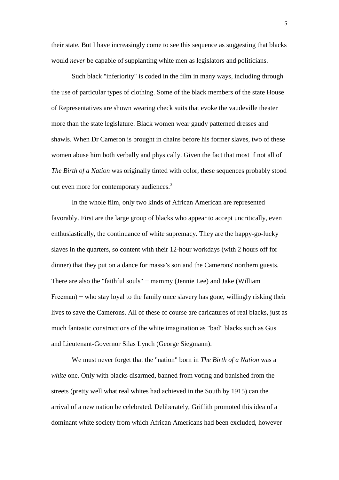their state. But I have increasingly come to see this sequence as suggesting that blacks would *never* be capable of supplanting white men as legislators and politicians.

Such black "inferiority" is coded in the film in many ways, including through the use of particular types of clothing. Some of the black members of the state House of Representatives are shown wearing check suits that evoke the vaudeville theater more than the state legislature. Black women wear gaudy patterned dresses and shawls. When Dr Cameron is brought in chains before his former slaves, two of these women abuse him both verbally and physically. Given the fact that most if not all of *The Birth of a Nation* was originally tinted with color, these sequences probably stood out even more for contemporary audiences.<sup>3</sup>

In the whole film, only two kinds of African American are represented favorably. First are the large group of blacks who appear to accept uncritically, even enthusiastically, the continuance of white supremacy. They are the happy-go-lucky slaves in the quarters, so content with their 12-hour workdays (with 2 hours off for dinner) that they put on a dance for massa's son and the Camerons' northern guests. There are also the "faithful souls" − mammy (Jennie Lee) and Jake (William Freeman) − who stay loyal to the family once slavery has gone, willingly risking their lives to save the Camerons. All of these of course are caricatures of real blacks, just as much fantastic constructions of the white imagination as "bad" blacks such as Gus and Lieutenant-Governor Silas Lynch (George Siegmann).

We must never forget that the "nation" born in *The Birth of a Nation* was a *white* one. Only with blacks disarmed, banned from voting and banished from the streets (pretty well what real whites had achieved in the South by 1915) can the arrival of a new nation be celebrated. Deliberately, Griffith promoted this idea of a dominant white society from which African Americans had been excluded, however